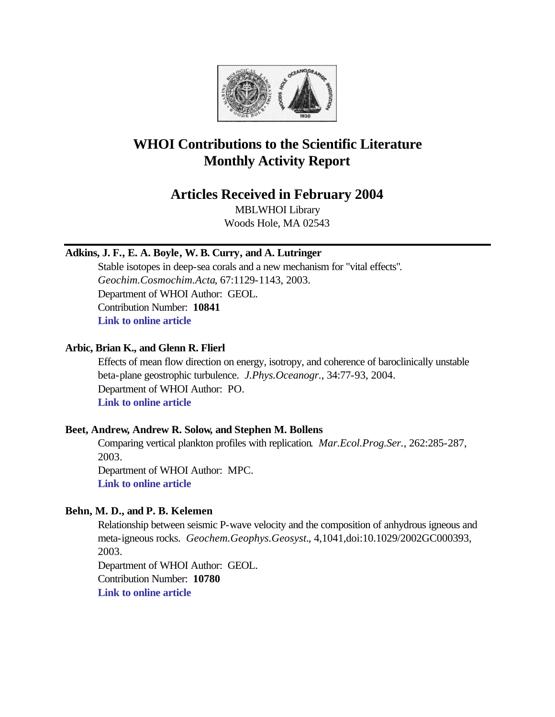

# **WHOI Contributions to the Scientific Literature Monthly Activity Report**

## **Articles Received in February 2004**

MBLWHOI Library Woods Hole, MA 02543

### **Adkins, J. F., E. A. Boyle, W. B. Curry, and A. Lutringer**

Stable isotopes in deep-sea corals and a new mechanism for "vital effects". *Geochim.Cosmochim.Acta*, 67:1129-1143, 2003. Department of WHOI Author: GEOL. Contribution Number: **10841 [Link to online article](http://www.sciencedirect.com/science?_ob=MImg&_imagekey=B6V66-4833WB8-3-Y&_cdi=5806&_orig=browse&_coverDate=03%2F15%2F2003&_sk=999329993&view=c&wchp=dGLbVtz-zSkzS&_acct=C000011858&_version=1&_userid=142773&md5=21a23be66a8593b13b8cdd1962cc8757&ie=f.pdf)**

### **Arbic, Brian K., and Glenn R. Flierl**

Effects of mean flow direction on energy, isotropy, and coherence of baroclinically unstable beta-plane geostrophic turbulence. *J.Phys.Oceanogr.*, 34:77-93, 2004. Department of WHOI Author: PO. **[Link to online article](http://ams.allenpress.com/pdfserv/i1520-0485-034-01-0077.pdf)**

### **Beet, Andrew, Andrew R. Solow, and Stephen M. Bollens**

Comparing vertical plankton profiles with replication. *Mar.Ecol.Prog.Ser.*, 262:285-287, 2003. Department of WHOI Author: MPC.

**[Link to online article](http://www.int-res.com/articles/meps2003/262/m262p285.pdf)**

### **Behn, M. D., and P. B. Kelemen**

Relationship between seismic P-wave velocity and the composition of anhydrous igneous and meta-igneous rocks. *Geochem.Geophys.Geosyst.*, 4,1041,doi:10.1029/2002GC000393, 2003.

Department of WHOI Author: GEOL. Contribution Number: **10780 [Link to online article](http://www.agu.org/journals/gc/gc0305/2002GC000393/2002GC000393.pdf)**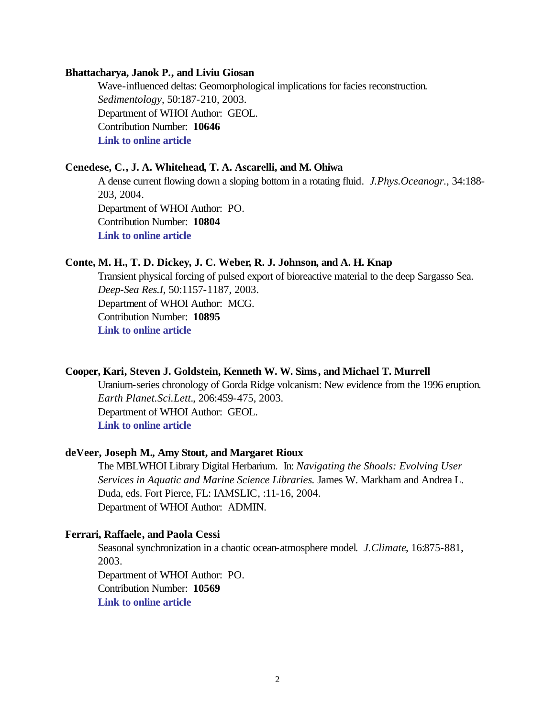#### **Bhattacharya, Janok P., and Liviu Giosan**

Wave-influenced deltas: Geomorphological implications for facies reconstruction. *Sedimentology*, 50:187-210, 2003. Department of WHOI Author: GEOL. Contribution Number: **10646 [Link to online article](http://www.blackwell-synergy.com/links/doi/10.1046/j.1365-3091.2003.00545.x/full/)**

#### **Cenedese, C., J. A. Whitehead, T. A. Ascarelli, and M. Ohiwa**

A dense current flowing down a sloping bottom in a rotating fluid. *J.Phys.Oceanogr.*, 34:188- 203, 2004. Department of WHOI Author: PO. Contribution Number: **10804 [Link to online article](http://ams.allenpress.com/pdfserv/i1520-0485-034-01-0188.pdf)**

### **Conte, M. H., T. D. Dickey, J. C. Weber, R. J. Johnson, and A. H. Knap**

Transient physical forcing of pulsed export of bioreactive material to the deep Sargasso Sea. *Deep-Sea Res.I*, 50:1157-1187, 2003. Department of WHOI Author: MCG. Contribution Number: **10895 [Link to online article](http://www.sciencedirect.com/science?_ob=MImg&_imagekey=B6VGB-49P4BCG-1-15&_cdi=6034&_orig=search&_coverDate=11%2F30%2F2003&_qd=1&_sk=999499989&view=c&wchp=dGLbVzz-zSkzV&_acct=C000011858&_version=1&_userid=142773&md5=284ddf5db9525effd53f60121e7418ec&ie=f.pdf)**

### **Cooper, Kari, Steven J. Goldstein, Kenneth W. W. Sims, and Michael T. Murrell**

Uranium-series chronology of Gorda Ridge volcanism: New evidence from the 1996 eruption. *Earth Planet.Sci.Lett.*, 206:459-475, 2003. Department of WHOI Author: GEOL. **[Link to online article](http://www.sciencedirect.com/science?_ob=MImg&_imagekey=B6V61-47PG90W-1-K&_cdi=5801&_orig=browse&_coverDate=02%2F15%2F2003&_sk=997939996&view=c&wchp=dGLbVlb-zSkWW&_acct=C000011858&_version=1&_userid=142773&md5=499a79e26f9d96637e4db0defaa69604&ie=f.pdf)**

### **deVeer, Joseph M., Amy Stout, and Margaret Rioux**

The MBLWHOI Library Digital Herbarium. In: *Navigating the Shoals: Evolving User Services in Aquatic and Marine Science Libraries.* James W. Markham and Andrea L. Duda, eds. Fort Pierce, FL: IAMSLIC, :11-16, 2004. Department of WHOI Author: ADMIN.

### **Ferrari, Raffaele, and Paola Cessi**

Seasonal synchronization in a chaotic ocean-atmosphere model. *J.Climate*, 16:875-881, 2003. Department of WHOI Author: PO. Contribution Number: **10569 [Link to online article](http://ams.allenpress.com/pdfserv/i1520-0442-016-05-0875.pdf)**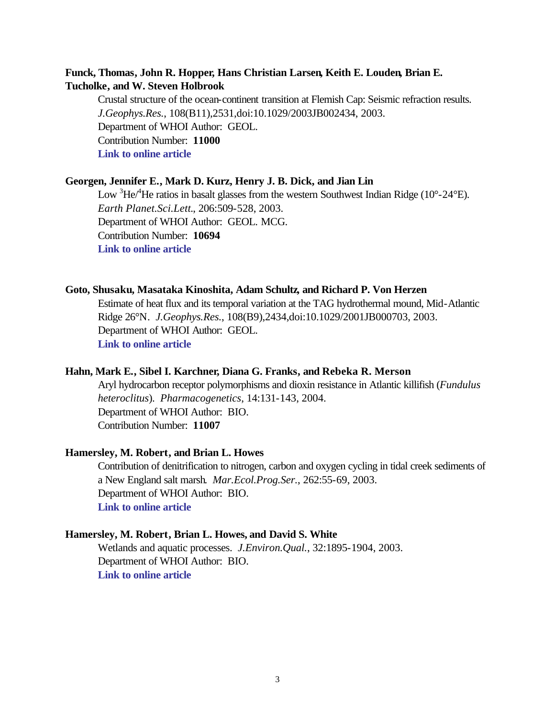### **Funck, Thomas, John R. Hopper, Hans Christian Larsen, Keith E. Louden, Brian E. Tucholke, and W. Steven Holbrook**

Crustal structure of the ocean-continent transition at Flemish Cap: Seismic refraction results. *J.Geophys.Res.*, 108(B11),2531,doi:10.1029/2003JB002434, 2003. Department of WHOI Author: GEOL. Contribution Number: **11000 [Link to online article](http://www.agu.org/journals/jb/jb0311/2003JB002434/2003JB002434.pdf)**

### **Georgen, Jennifer E., Mark D. Kurz, Henry J. B. Dick, and Jian Lin**

Low  ${}^{3}\text{He}^{4}\text{He}$  ratios in basalt glasses from the western Southwest Indian Ridge (10°-24°E). *Earth Planet.Sci.Lett.*, 206:509-528, 2003. Department of WHOI Author: GEOL. MCG. Contribution Number: **10694 [Link to online article](http://www.sciencedirect.com/science?_ob=MImg&_imagekey=B6V61-47MKPJC-9-R&_cdi=5801&_orig=browse&_coverDate=02%2F15%2F2003&_sk=997939996&view=c&wchp=dGLbVzb-zSkWb&_acct=C000011858&_version=1&_userid=142773&md5=07cfb63c0a26c6f32a14510e6c8e1048&ie=f.pdf)**

### **Goto, Shusaku, Masataka Kinoshita, Adam Schultz, and Richard P. Von Herzen**

Estimate of heat flux and its temporal variation at the TAG hydrothermal mound, Mid-Atlantic Ridge 26°N. *J.Geophys.Res.*, 108(B9),2434,doi:10.1029/2001JB000703, 2003. Department of WHOI Author: GEOL. **[Link to online article](http://www.agu.org/journals/jb/jb0309/2001JB000703/2001JB000703.pdf)**

#### **Hahn, Mark E., Sibel I. Karchner, Diana G. Franks, and Rebeka R. Merson**

Aryl hydrocarbon receptor polymorphisms and dioxin resistance in Atlantic killifish (*Fundulus heteroclitus*). *Pharmacogenetics*, 14:131-143, 2004. Department of WHOI Author: BIO. Contribution Number: **11007**

#### **Hamersley, M. Robert, and Brian L. Howes**

Contribution of denitrification to nitrogen, carbon and oxygen cycling in tidal creek sediments of a New England salt marsh. *Mar.Ecol.Prog.Ser.*, 262:55-69, 2003. Department of WHOI Author: BIO. **[Link to online article](http://www.int-res.com/articles/meps2003/262/m262p055.pdf)**

#### **Hamersley, M. Robert, Brian L. Howes, and David S. White**

Wetlands and aquatic processes. *J.Environ.Qual.*, 32:1895-1904, 2003. Department of WHOI Author: BIO. **[Link to online article](http://jeq.scijournals.org/cgi/reprint/32/5/1895.pdf)**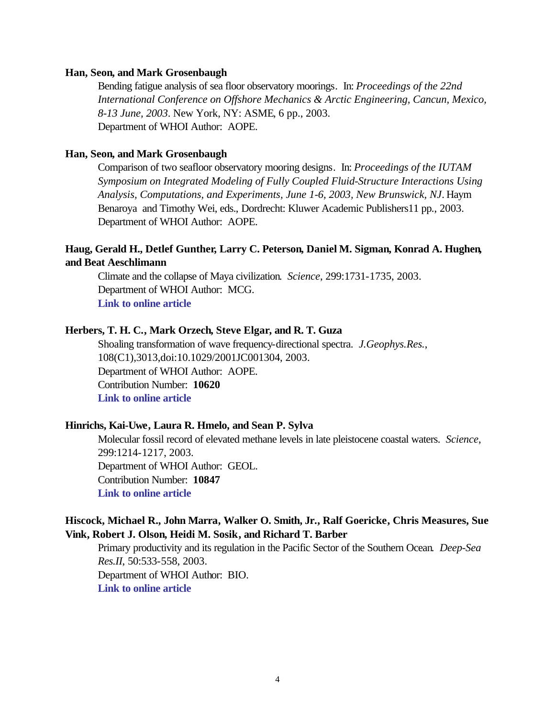#### **Han, Seon, and Mark Grosenbaugh**

Bending fatigue analysis of sea floor observatory moorings. In: *Proceedings of the 22nd International Conference on Offshore Mechanics & Arctic Engineering, Cancun, Mexico, 8-13 June, 2003*. New York, NY: ASME, 6 pp., 2003. Department of WHOI Author: AOPE.

### **Han, Seon, and Mark Grosenbaugh**

Comparison of two seafloor observatory mooring designs. In: *Proceedings of the IUTAM Symposium on Integrated Modeling of Fully Coupled Fluid-Structure Interactions Using Analysis, Computations, and Experiments, June 1-6, 2003, New Brunswick, NJ*. Haym Benaroya and Timothy Wei, eds., Dordrecht: Kluwer Academic Publishers11 pp., 2003. Department of WHOI Author: AOPE.

### **Haug, Gerald H., Detlef Gunther, Larry C. Peterson, Daniel M. Sigman, Konrad A. Hughen, and Beat Aeschlimann**

Climate and the collapse of Maya civilization. *Science*, 299:1731-1735, 2003. Department of WHOI Author: MCG. **[Link to online article](http://www.sciencemag.org/cgi/reprint/299/5613/1731.pdf)**

### **Herbers, T. H. C., Mark Orzech, Steve Elgar, and R. T. Guza**

Shoaling transformation of wave frequency-directional spectra. *J.Geophys.Res.*, 108(C1),3013,doi:10.1029/2001JC001304, 2003. Department of WHOI Author: AOPE. Contribution Number: **10620 [Link to online article](http://www.agu.org/journals/jc/jc0301/2001JC001304/2001JC001304.pdf)**

#### **Hinrichs, Kai-Uwe, Laura R. Hmelo, and Sean P. Sylva**

Molecular fossil record of elevated methane levels in late pleistocene coastal waters. *Science*, 299:1214-1217, 2003. Department of WHOI Author: GEOL. Contribution Number: **10847 [Link to online article](http://www.sciencemag.org/cgi/reprint/299/5610/1214.pdf)**

### **Hiscock, Michael R., John Marra, Walker O. Smith, Jr., Ralf Goericke, Chris Measures, Sue Vink, Robert J. Olson, Heidi M. Sosik, and Richard T. Barber**

Primary productivity and its regulation in the Pacific Sector of the Southern Ocean. *Deep-Sea Res.II*, 50:533-558, 2003. Department of WHOI Author: BIO. **[Link to online article](http://www.sciencedirect.com/science?_ob=MImg&_imagekey=B6VGC-47XWG1F-1-1T&_cdi=6035&_orig=browse&_coverDate=03%2F31%2F2003&_sk=999499996&view=c&wchp=dGLbVzb-zSkWW&_acct=C000011858&_version=1&_userid=142773&md5=629dd57c10aa22fe8db3130ef325000a&ie=f.pdf)**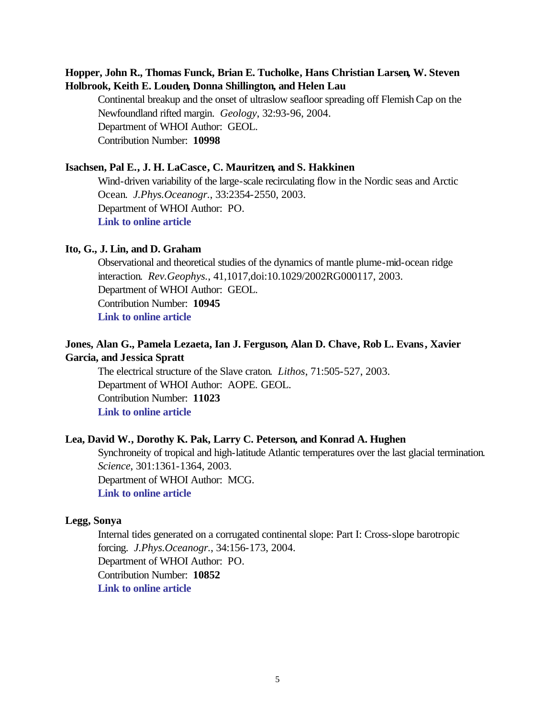### **Hopper, John R., Thomas Funck, Brian E. Tucholke, Hans Christian Larsen, W. Steven Holbrook, Keith E. Louden, Donna Shillington, and Helen Lau**

Continental breakup and the onset of ultraslow seafloor spreading off Flemish Cap on the Newfoundland rifted margin. *Geology*, 32:93-96, 2004. Department of WHOI Author: GEOL. Contribution Number: **10998**

### **Isachsen, Pal E., J. H. LaCasce, C. Mauritzen, and S. Hakkinen**

Wind-driven variability of the large-scale recirculating flow in the Nordic seas and Arctic Ocean. *J.Phys.Oceanogr.*, 33:2354-2550, 2003. Department of WHOI Author: PO. **[Link to online article](http://ams.allenpress.com/pdfserv/i1520-0485-033-12-2534.pdf)**

#### **Ito, G., J. Lin, and D. Graham**

Observational and theoretical studies of the dynamics of mantle plume-mid-ocean ridge interaction. *Rev.Geophys.*, 41,1017,doi:10.1029/2002RG000117, 2003. Department of WHOI Author: GEOL. Contribution Number: **10945 [Link to online article](http://www.agu.org/journals/rg/rg0304/2002RG000117/2002RG000117.pdf)**

### **Jones, Alan G., Pamela Lezaeta, Ian J. Ferguson, Alan D. Chave, Rob L. Evans, Xavier Garcia, and Jessica Spratt**

The electrical structure of the Slave craton. *Lithos*, 71:505-527, 2003. Department of WHOI Author: AOPE. GEOL. Contribution Number: **11023 [Link to online article](http://www.sciencedirect.com/science?_ob=MImg&_imagekey=B6V6J-4B4H60V-P-N&_cdi=5816&_orig=browse&_coverDate=12%2F31%2F2003&_sk=999289997&view=c&wchp=dGLbVtb-zSkzk&_acct=C000011858&_version=1&_userid=142773&md5=aeeb4ec1b88a90cb3e8fc375c0c1b345&ie=f.pdf)**

### **Lea, David W., Dorothy K. Pak, Larry C. Peterson, and Konrad A. Hughen**

Synchroneity of tropical and high-latitude Atlantic temperatures over the last glacial termination. *Science*, 301:1361-1364, 2003. Department of WHOI Author: MCG. **[Link to online article](http://www.sciencemag.org/cgi/reprint/301/5638/1361.pdf)**

#### **Legg, Sonya**

Internal tides generated on a corrugated continental slope: Part I: Cross-slope barotropic forcing. *J.Phys.Oceanogr.*, 34:156-173, 2004. Department of WHOI Author: PO. Contribution Number: **10852 [Link to online article](http://ams.allenpress.com/pdfserv/i1520-0485-034-01-0156.pdf)**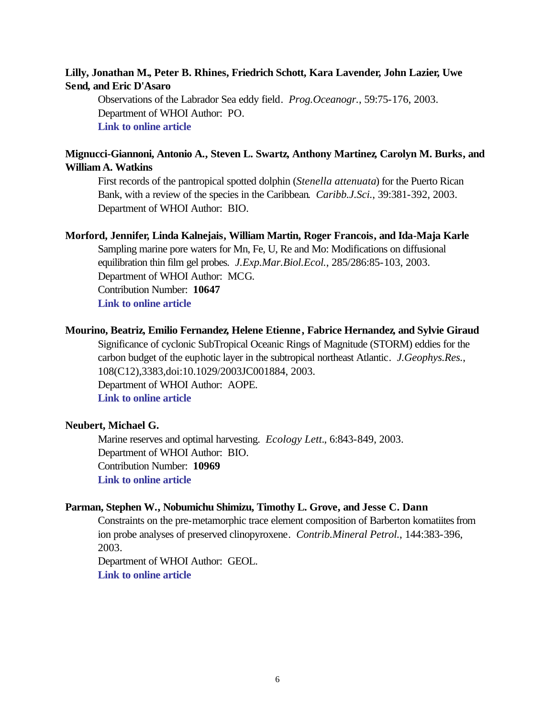### **Lilly, Jonathan M., Peter B. Rhines, Friedrich Schott, Kara Lavender, John Lazier, Uwe Send, and Eric D'Asaro**

Observations of the Labrador Sea eddy field. *Prog.Oceanogr.*, 59:75-176, 2003. Department of WHOI Author: PO. **[Link to online article](http://www.sciencedirect.com/science?_ob=MImg&_imagekey=B6V7B-4B3FK33-1-JV&_cdi=5838&_orig=search&_coverDate=10%2F31%2F2003&_sk=999409998&view=c&wchp=dGLbVlb-zSkWz&_acct=C000011858&_version=1&_userid=142773&md5=7126f9399fbbe3cad22a4083ee2d9868&ie=f.pdf)**

### **Mignucci-Giannoni, Antonio A., Steven L. Swartz, Anthony Martinez, Carolyn M. Burks, and William A. Watkins**

First records of the pantropical spotted dolphin (*Stenella attenuata*) for the Puerto Rican Bank, with a review of the species in the Caribbean. *Caribb.J.Sci.*, 39:381-392, 2003. Department of WHOI Author: BIO.

#### **Morford, Jennifer, Linda Kalnejais, William Martin, Roger Francois, and Ida-Maja Karle**

Sampling marine pore waters for Mn, Fe, U, Re and Mo: Modifications on diffusional equilibration thin film gel probes. *J.Exp.Mar.Biol.Ecol.*, 285/286:85-103, 2003. Department of WHOI Author: MCG. Contribution Number: **10647**

**[Link to online article](http://www.sciencedirect.com/science?_ob=MImg&_imagekey=B6T8F-47GJ43H-2-N&_cdi=5085&_orig=browse&_coverDate=02%2F12%2F2003&_sk=997149999&view=c&wchp=dGLbVzb-zSkzk&_acct=C000011858&_version=1&_userid=142773&md5=36c535e53233529e176939b69164822c&ie=f.pdf)**

#### **Mourino, Beatriz, Emilio Fernandez, Helene Etienne , Fabrice Hernandez, and Sylvie Giraud**

Significance of cyclonic SubTropical Oceanic Rings of Magnitude (STORM) eddies for the carbon budget of the euphotic layer in the subtropical northeast Atlantic. *J.Geophys.Res.*, 108(C12),3383,doi:10.1029/2003JC001884, 2003. Department of WHOI Author: AOPE. **[Link to online article](http://www.agu.org/journals/jc/jc0312/2003JC001884/2003JC001884.pdf)**

### **Neubert, Michael G.**

Marine reserves and optimal harvesting. *Ecology Lett.*, 6:843-849, 2003. Department of WHOI Author: BIO. Contribution Number: **10969 [Link to online article](http://a1888.ch.akamai.net/n/1888/5955/1061450555000/www.blackwell-synergy.com/production/ele/2003/6/9/j.1461-0248.2003.00493.x/j.1461-0248.2003.00493.x.pdf?sessionID=aDrPzSvPQdTd)**

#### **Parman, Stephen W., Nobumichu Shimizu, Timothy L. Grove, and Jesse C. Dann**

Constraints on the pre-metamorphic trace element composition of Barberton komatiites from ion probe analyses of preserved clinopyroxene. *Contrib.Mineral Petrol.*, 144:383-396, 2003.

Department of WHOI Author: GEOL. **[Link to online article](http://www.springerlink.com/app/home/content.asp?wasp=524c86b25d1wxh8963u7&referrer=contribution&format=2&page=1&pagecount=14)**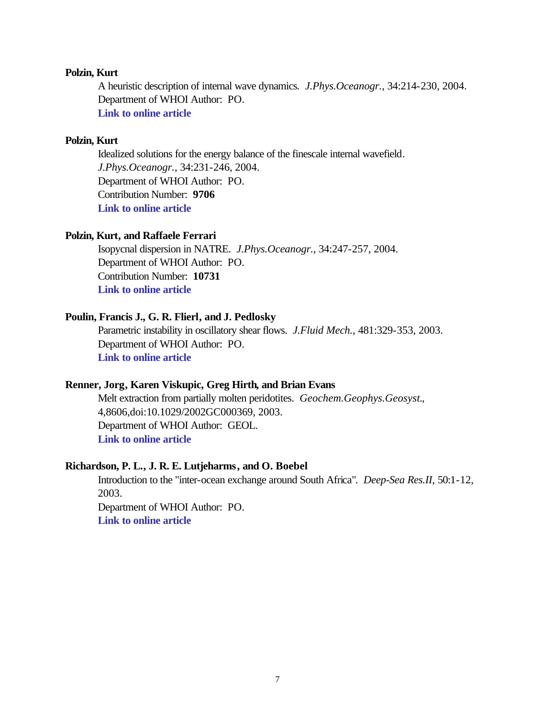### **Polzin, Kurt**

A heuristic description of internal wave dynamics. *J.Phys.Oceanogr.*, 34:214-230, 2004. Department of WHOI Author: PO. **[Link to online article](http://ams.allenpress.com/pdfserv/i1520-0485-034-01-0214.pdf)**

#### **Polzin, Kurt**

Idealized solutions for the energy balance of the finescale internal wavefield. *J.Phys.Oceanogr.*, 34:231-246, 2004. Department of WHOI Author: PO. Contribution Number: **9706 [Link to online article](http://ams.allenpress.com/pdfserv/i1520-0485-034-01-0231.pdf)**

### **Polzin, Kurt, and Raffaele Ferrari**

Isopycnal dispersion in NATRE. *J.Phys.Oceanogr.*, 34:247-257, 2004. Department of WHOI Author: PO. Contribution Number: **10731 [Link to online article](http://ams.allenpress.com/pdfserv/i1520-0485-034-01-0247.pdf)**

### **Poulin, Francis J., G. R. Flierl, and J. Pedlosky**

Parametric instability in oscillatory shear flows. *J.Fluid Mech.*, 481:329-353, 2003. Department of WHOI Author: PO. **[Link to online article](http://journals.cambridge.org/bin/bladerunner?REQUNIQ=1073575542&REQSESS=3619358&118200REQEVENT=&REQINT1=149300&REQAUTH=0)**

#### **Renner, Jorg, Karen Viskupic, Greg Hirth, and Brian Evans**

Melt extraction from partially molten peridotites. *Geochem.Geophys.Geosyst.*, 4,8606,doi:10.1029/2002GC000369, 2003. Department of WHOI Author: GEOL. **[Link to online article](http://www.agu.org/journals/gc/gc0305/2002GC000369/2002GC000369.pdf)**

### **Richardson, P. L., J. R. E. Lutjeharms, and O. Boebel**

Introduction to the "inter-ocean exchange around South Africa". *Deep-Sea Res.II*, 50:1-12, 2003. Department of WHOI Author: PO.

**[Link to online article](http://www.sciencedirect.com/science?_ob=MImg&_imagekey=B6VGC-47CR5C6-2-12&_cdi=6035&_orig=browse&_coverDate=01%2F31%2F2003&_sk=999499998&view=c&wchp=dGLbVlb-zSkzV&_acct=C000011858&_version=1&_userid=142773&md5=f7322755706054db02e604a5d68d78bf&ie=f.pdf)**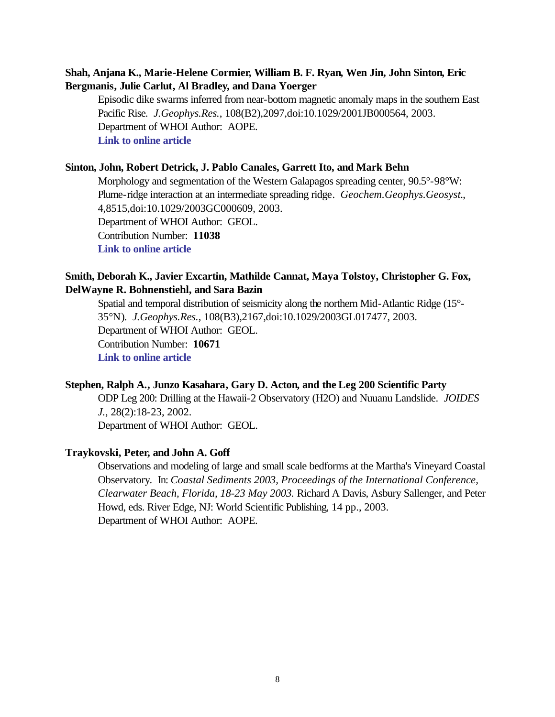### **Shah, Anjana K., Marie-Helene Cormier, William B. F. Ryan, Wen Jin, John Sinton, Eric Bergmanis, Julie Carlut, Al Bradley, and Dana Yoerger**

Episodic dike swarms inferred from near-bottom magnetic anomaly maps in the southern East Pacific Rise. *J.Geophys.Res.*, 108(B2),2097,doi:10.1029/2001JB000564, 2003. Department of WHOI Author: AOPE. **[Link to online article](http://www.agu.org/journals/jb/jb0302/2001JB000564/2001JB000564.pdf)**

#### **Sinton, John, Robert Detrick, J. Pablo Canales, Garrett Ito, and Mark Behn**

Morphology and segmentation of the Western Galapagos spreading center,  $90.5^{\circ}$ - $98^{\circ}$ W: Plume-ridge interaction at an intermediate spreading ridge. *Geochem.Geophys.Geosyst.*, 4,8515,doi:10.1029/2003GC000609, 2003. Department of WHOI Author: GEOL. Contribution Number: **11038 [Link to online article](http://www.agu.org/journals/gc/gc0312/2003GC000609/2003GC000609.pdf)**

### **Smith, Deborah K., Javier Excartin, Mathilde Cannat, Maya Tolstoy, Christopher G. Fox, DelWayne R. Bohnenstiehl, and Sara Bazin**

Spatial and temporal distribution of seismicity along the northern Mid-Atlantic Ridge (15°- 35°N). *J.Geophys.Res.*, 108(B3),2167,doi:10.1029/2003GL017477, 2003. Department of WHOI Author: GEOL. Contribution Number: **10671 [Link to online article](http://www.agu.org/journals/jb/jb0303/2002JB001964/2002JB001964.pdf)**

#### **Stephen, Ralph A., Junzo Kasahara, Gary D. Acton, and the Leg 200 Scientific Party**

ODP Leg 200: Drilling at the Hawaii-2 Observatory (H2O) and Nuuanu Landslide. *JOIDES J.*, 28(2):18-23, 2002.

Department of WHOI Author: GEOL.

### **Traykovski, Peter, and John A. Goff**

Observations and modeling of large and small scale bedforms at the Martha's Vineyard Coastal Observatory. In: *Coastal Sediments 2003, Proceedings of the International Conference, Clearwater Beach, Florida, 18-23 May 2003.* Richard A Davis, Asbury Sallenger, and Peter Howd, eds. River Edge, NJ: World Scientific Publishing, 14 pp., 2003. Department of WHOI Author: AOPE.